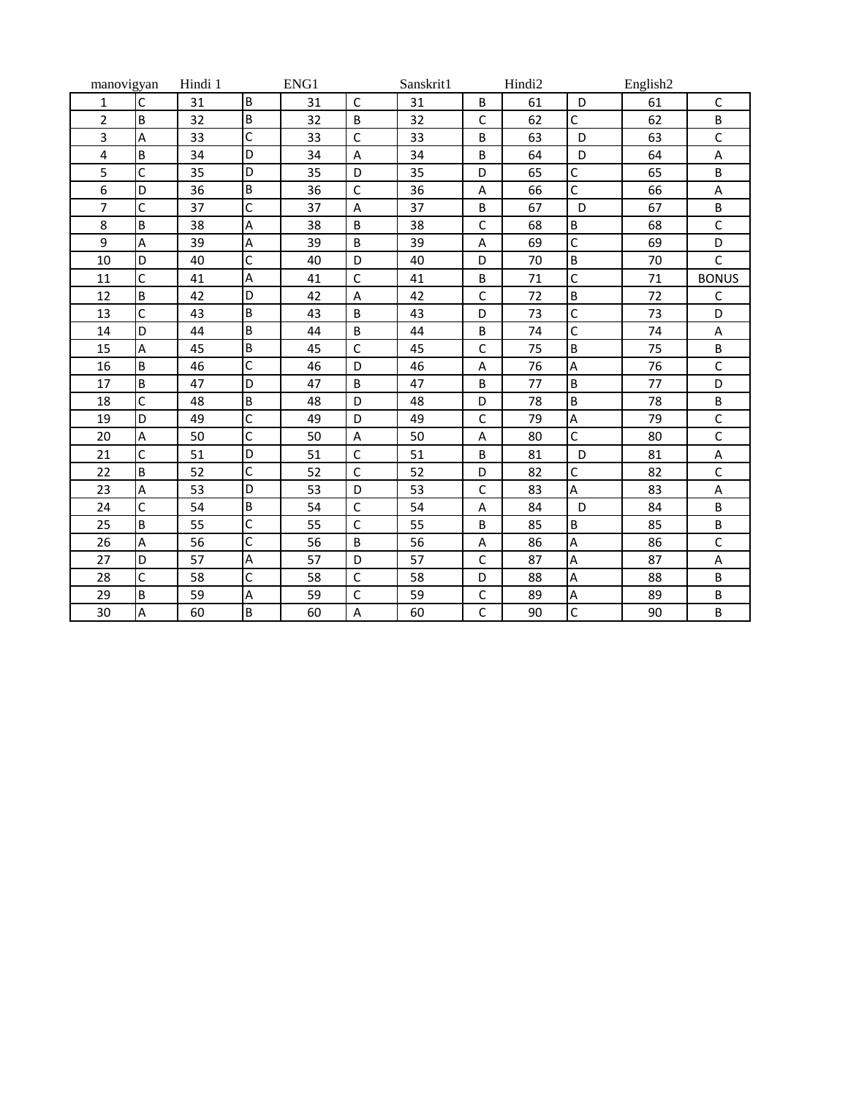| manovigyan     |              | Hindi 1 | ENG1           |    |              | Sanskrit1 | Hindi2       |    | English2       |    |              |
|----------------|--------------|---------|----------------|----|--------------|-----------|--------------|----|----------------|----|--------------|
| 1              | $\mathsf{C}$ | 31      | B              | 31 | $\mathsf{C}$ | 31        | B            | 61 | D              | 61 | $\mathsf{C}$ |
| $\overline{2}$ | B            | 32      | B              | 32 | B            | 32        | $\mathsf{C}$ | 62 | $\mathsf C$    | 62 | B            |
| 3              | Α            | 33      | C              | 33 | $\mathsf{C}$ | 33        | B            | 63 | D              | 63 | $\mathsf C$  |
| 4              | B            | 34      | D              | 34 | A            | 34        | B            | 64 | D              | 64 | A            |
| 5              | C            | 35      | D              | 35 | D            | 35        | D            | 65 | $\overline{C}$ | 65 | B            |
| 6              | D            | 36      | B              | 36 | $\mathsf C$  | 36        | A            | 66 | $\mathsf{C}$   | 66 | A            |
| $\overline{7}$ | C            | 37      | C              | 37 | Α            | 37        | B            | 67 | D              | 67 | B            |
| 8              | B            | 38      | A              | 38 | B            | 38        | $\mathsf C$  | 68 | B              | 68 | $\mathsf C$  |
| 9              | A            | 39      | Α              | 39 | B            | 39        | A            | 69 | $\overline{C}$ | 69 | D            |
| 10             | D            | 40      | C              | 40 | D            | 40        | D            | 70 | $\overline{B}$ | 70 | $\mathsf{C}$ |
| 11             | Ċ            | 41      | A              | 41 | $\mathsf{C}$ | 41        | B            | 71 | $\mathsf{C}$   | 71 | <b>BONUS</b> |
| 12             | B            | 42      | D              | 42 | A            | 42        | $\mathsf{C}$ | 72 | B              | 72 | $\mathsf C$  |
| 13             | C            | 43      | B              | 43 | B            | 43        | D            | 73 | $\mathsf C$    | 73 | D            |
| 14             | D            | 44      | B              | 44 | B            | 44        | B            | 74 | $\overline{C}$ | 74 | A            |
| 15             | A            | 45      | B              | 45 | $\mathsf C$  | 45        | $\mathsf C$  | 75 | B              | 75 | B            |
| 16             | B            | 46      | $\mathsf{C}$   | 46 | D            | 46        | Α            | 76 | A              | 76 | $\mathsf{C}$ |
| 17             | B            | 47      | D              | 47 | B            | 47        | B            | 77 | B              | 77 | D            |
| 18             | C            | 48      | B              | 48 | D            | 48        | D            | 78 | B              | 78 | B            |
| 19             | D            | 49      | C              | 49 | D            | 49        | $\mathsf{C}$ | 79 | A              | 79 | $\mathsf{C}$ |
| 20             | Α            | 50      | C              | 50 | A            | 50        | A            | 80 | $\mathsf{C}$   | 80 | $\mathsf C$  |
| 21             | Ċ            | 51      | D              | 51 | $\mathsf{C}$ | 51        | B            | 81 | D              | 81 | A            |
| 22             | B            | 52      | $\overline{C}$ | 52 | $\mathsf C$  | 52        | D            | 82 | $\mathsf{C}$   | 82 | $\mathsf C$  |
| 23             | A            | 53      | D              | 53 | D            | 53        | C            | 83 | A              | 83 | А            |
| 24             | C            | 54      | B              | 54 | $\mathsf{C}$ | 54        | A            | 84 | D              | 84 | B            |
| 25             | B            | 55      | C              | 55 | $\mathsf{C}$ | 55        | B            | 85 | B              | 85 | B            |
| 26             | A            | 56      | $\mathsf{C}$   | 56 | B            | 56        | A            | 86 | A              | 86 | $\mathsf{C}$ |
| 27             | D            | 57      | A              | 57 | D            | 57        | $\mathsf{C}$ | 87 | A              | 87 | Α            |
| 28             | C            | 58      | C              | 58 | $\mathsf C$  | 58        | D            | 88 | A              | 88 | B            |
| 29             | B            | 59      | A              | 59 | $\mathsf C$  | 59        | $\mathsf C$  | 89 | A              | 89 | B            |
| 30             | Α            | 60      | B              | 60 | Α            | 60        | C            | 90 | $\mathsf C$    | 90 | B            |